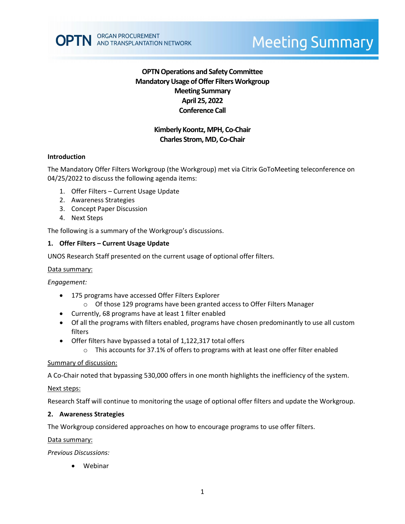

# **OPTN Operations and Safety Committee Mandatory Usage of Offer Filters Workgroup Meeting Summary April 25, 2022 Conference Call**

## **Kimberly Koontz, MPH, Co-Chair Charles Strom, MD, Co-Chair**

## **Introduction**

The Mandatory Offer Filters Workgroup (the Workgroup) met via Citrix GoToMeeting teleconference on 04/25/2022 to discuss the following agenda items:

- 1. Offer Filters Current Usage Update
- 2. Awareness Strategies
- 3. Concept Paper Discussion
- 4. Next Steps

The following is a summary of the Workgroup's discussions.

## **1. Offer Filters – Current Usage Update**

UNOS Research Staff presented on the current usage of optional offer filters.

## Data summary:

*Engagement:*

- 175 programs have accessed Offer Filters Explorer
	- o Of those 129 programs have been granted access to Offer Filters Manager
- Currently, 68 programs have at least 1 filter enabled
- Of all the programs with filters enabled, programs have chosen predominantly to use all custom filters
- Offer filters have bypassed a total of 1,122,317 total offers
	- $\circ$  This accounts for 37.1% of offers to programs with at least one offer filter enabled

## Summary of discussion:

A Co-Chair noted that bypassing 530,000 offers in one month highlights the inefficiency of the system.

## Next steps:

Research Staff will continue to monitoring the usage of optional offer filters and update the Workgroup.

## **2. Awareness Strategies**

The Workgroup considered approaches on how to encourage programs to use offer filters.

Data summary:

*Previous Discussions:*

• Webinar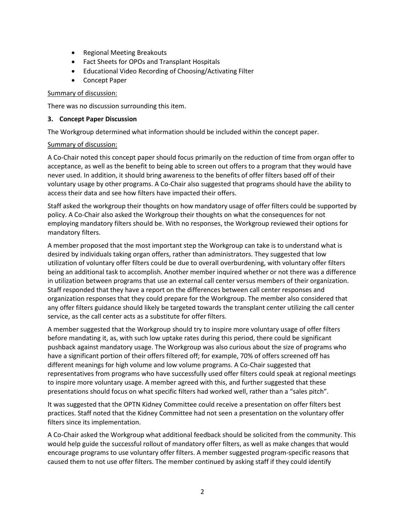- Regional Meeting Breakouts
- Fact Sheets for OPOs and Transplant Hospitals
- Educational Video Recording of Choosing/Activating Filter
- Concept Paper

### Summary of discussion:

There was no discussion surrounding this item.

#### **3. Concept Paper Discussion**

The Workgroup determined what information should be included within the concept paper.

#### Summary of discussion:

A Co-Chair noted this concept paper should focus primarily on the reduction of time from organ offer to acceptance, as well as the benefit to being able to screen out offers to a program that they would have never used. In addition, it should bring awareness to the benefits of offer filters based off of their voluntary usage by other programs. A Co-Chair also suggested that programs should have the ability to access their data and see how filters have impacted their offers.

Staff asked the workgroup their thoughts on how mandatory usage of offer filters could be supported by policy. A Co-Chair also asked the Workgroup their thoughts on what the consequences for not employing mandatory filters should be. With no responses, the Workgroup reviewed their options for mandatory filters.

A member proposed that the most important step the Workgroup can take is to understand what is desired by individuals taking organ offers, rather than administrators. They suggested that low utilization of voluntary offer filters could be due to overall overburdening, with voluntary offer filters being an additional task to accomplish. Another member inquired whether or not there was a difference in utilization between programs that use an external call center versus members of their organization. Staff responded that they have a report on the differences between call center responses and organization responses that they could prepare for the Workgroup. The member also considered that any offer filters guidance should likely be targeted towards the transplant center utilizing the call center service, as the call center acts as a substitute for offer filters.

A member suggested that the Workgroup should try to inspire more voluntary usage of offer filters before mandating it, as, with such low uptake rates during this period, there could be significant pushback against mandatory usage. The Workgroup was also curious about the size of programs who have a significant portion of their offers filtered off; for example, 70% of offers screened off has different meanings for high volume and low volume programs. A Co-Chair suggested that representatives from programs who have successfully used offer filters could speak at regional meetings to inspire more voluntary usage. A member agreed with this, and further suggested that these presentations should focus on what specific filters had worked well, rather than a "sales pitch".

It was suggested that the OPTN Kidney Committee could receive a presentation on offer filters best practices. Staff noted that the Kidney Committee had not seen a presentation on the voluntary offer filters since its implementation.

A Co-Chair asked the Workgroup what additional feedback should be solicited from the community. This would help guide the successful rollout of mandatory offer filters, as well as make changes that would encourage programs to use voluntary offer filters. A member suggested program-specific reasons that caused them to not use offer filters. The member continued by asking staff if they could identify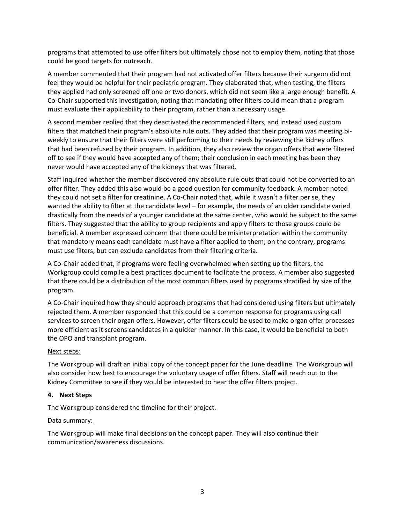programs that attempted to use offer filters but ultimately chose not to employ them, noting that those could be good targets for outreach.

A member commented that their program had not activated offer filters because their surgeon did not feel they would be helpful for their pediatric program. They elaborated that, when testing, the filters they applied had only screened off one or two donors, which did not seem like a large enough benefit. A Co-Chair supported this investigation, noting that mandating offer filters could mean that a program must evaluate their applicability to their program, rather than a necessary usage.

A second member replied that they deactivated the recommended filters, and instead used custom filters that matched their program's absolute rule outs. They added that their program was meeting biweekly to ensure that their filters were still performing to their needs by reviewing the kidney offers that had been refused by their program. In addition, they also review the organ offers that were filtered off to see if they would have accepted any of them; their conclusion in each meeting has been they never would have accepted any of the kidneys that was filtered.

Staff inquired whether the member discovered any absolute rule outs that could not be converted to an offer filter. They added this also would be a good question for community feedback. A member noted they could not set a filter for creatinine. A Co-Chair noted that, while it wasn't a filter per se, they wanted the ability to filter at the candidate level – for example, the needs of an older candidate varied drastically from the needs of a younger candidate at the same center, who would be subject to the same filters. They suggested that the ability to group recipients and apply filters to those groups could be beneficial. A member expressed concern that there could be misinterpretation within the community that mandatory means each candidate must have a filter applied to them; on the contrary, programs must use filters, but can exclude candidates from their filtering criteria.

A Co-Chair added that, if programs were feeling overwhelmed when setting up the filters, the Workgroup could compile a best practices document to facilitate the process. A member also suggested that there could be a distribution of the most common filters used by programs stratified by size of the program.

A Co-Chair inquired how they should approach programs that had considered using filters but ultimately rejected them. A member responded that this could be a common response for programs using call services to screen their organ offers. However, offer filters could be used to make organ offer processes more efficient as it screens candidates in a quicker manner. In this case, it would be beneficial to both the OPO and transplant program.

## Next steps:

The Workgroup will draft an initial copy of the concept paper for the June deadline. The Workgroup will also consider how best to encourage the voluntary usage of offer filters. Staff will reach out to the Kidney Committee to see if they would be interested to hear the offer filters project.

## **4. Next Steps**

The Workgroup considered the timeline for their project.

## Data summary:

The Workgroup will make final decisions on the concept paper. They will also continue their communication/awareness discussions.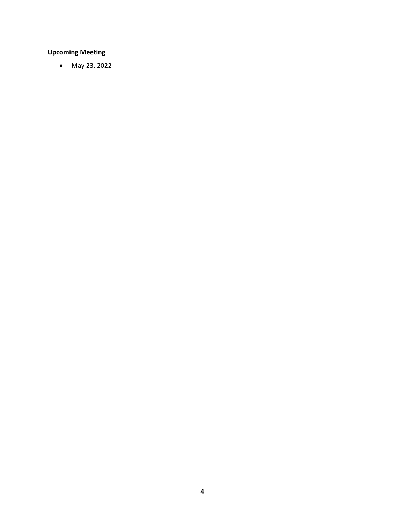# **Upcoming Meeting**

• May 23, 2022